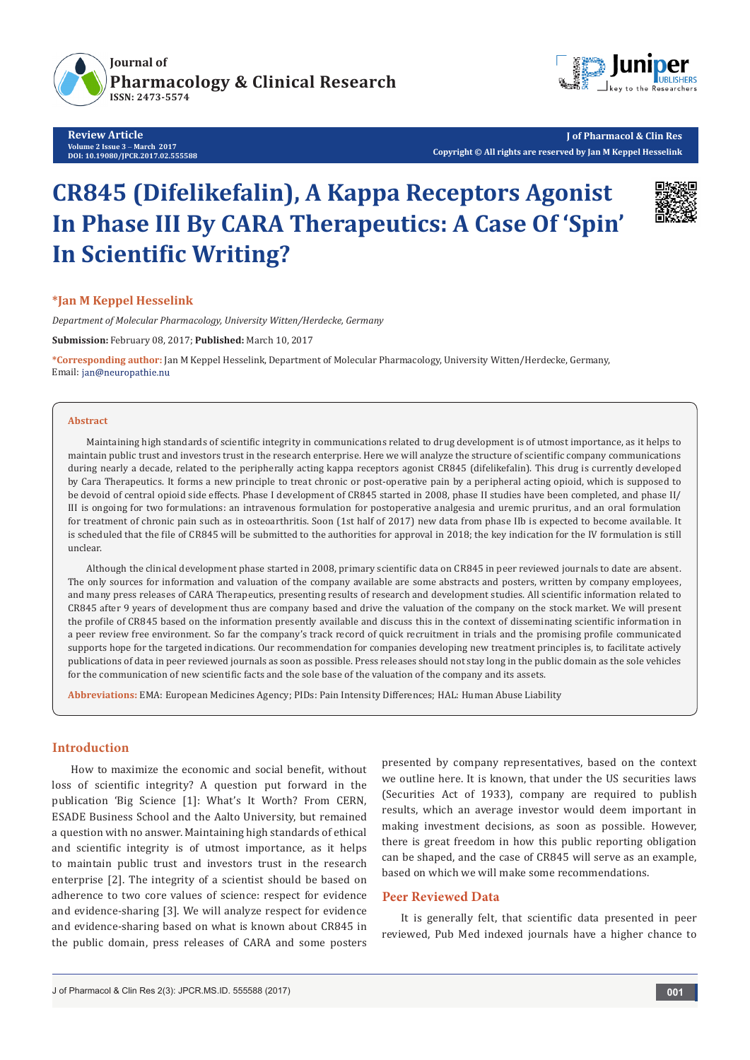

**Review Article Volume 2 Issue 3** - **March 2017 DOI: [10.19080/JPCR.2017.02.555588](http://dx.doi.org/10.19080/JPCR.2017.02.555588
)**



**J of Pharmacol & Clin Res Copyright © All rights are reserved by Jan M Keppel Hesselink**

# **CR845 (Difelikefalin), A Kappa Receptors Agonist In Phase III By CARA Therapeutics: A Case Of 'Spin' In Scientific Writing?**



# **\*Jan M Keppel Hesselink**

*Department of Molecular Pharmacology, University Witten/Herdecke, Germany*

**Submission:** February 08, 2017; **Published:** March 10, 2017

**\*Corresponding author:** Jan M Keppel Hesselink, Department of Molecular Pharmacology, University Witten/Herdecke, Germany, Email: jan@neuropathie.nu

### **Abstract**

Maintaining high standards of scientific integrity in communications related to drug development is of utmost importance, as it helps to maintain public trust and investors trust in the research enterprise. Here we will analyze the structure of scientific company communications during nearly a decade, related to the peripherally acting kappa receptors agonist CR845 (difelikefalin). This drug is currently developed by Cara Therapeutics. It forms a new principle to treat chronic or post-operative pain by a peripheral acting opioid, which is supposed to be devoid of central opioid side effects. Phase I development of CR845 started in 2008, phase II studies have been completed, and phase II/ III is ongoing for two formulations: an intravenous formulation for postoperative analgesia and uremic pruritus, and an oral formulation for treatment of chronic pain such as in osteoarthritis. Soon (1st half of 2017) new data from phase IIb is expected to become available. It is scheduled that the file of CR845 will be submitted to the authorities for approval in 2018; the key indication for the IV formulation is still unclear.

Although the clinical development phase started in 2008, primary scientific data on CR845 in peer reviewed journals to date are absent. The only sources for information and valuation of the company available are some abstracts and posters, written by company employees, and many press releases of CARA Therapeutics, presenting results of research and development studies. All scientific information related to CR845 after 9 years of development thus are company based and drive the valuation of the company on the stock market. We will present the profile of CR845 based on the information presently available and discuss this in the context of disseminating scientific information in a peer review free environment. So far the company's track record of quick recruitment in trials and the promising profile communicated supports hope for the targeted indications. Our recommendation for companies developing new treatment principles is, to facilitate actively publications of data in peer reviewed journals as soon as possible. Press releases should not stay long in the public domain as the sole vehicles for the communication of new scientific facts and the sole base of the valuation of the company and its assets.

**Abbreviations:** EMA: European Medicines Agency; PIDs: Pain Intensity Differences; HAL: Human Abuse Liability

## **Introduction**

How to maximize the economic and social benefit, without loss of scientific integrity? A question put forward in the publication 'Big Science [1]: What's It Worth? From CERN, ESADE Business School and the Aalto University, but remained a question with no answer. Maintaining high standards of ethical and scientific integrity is of utmost importance, as it helps to maintain public trust and investors trust in the research enterprise [2]. The integrity of a scientist should be based on adherence to two core values of science: respect for evidence and evidence-sharing [3]. We will analyze respect for evidence and evidence-sharing based on what is known about CR845 in the public domain, press releases of CARA and some posters

presented by company representatives, based on the context we outline here. It is known, that under the US securities laws (Securities Act of 1933), company are required to publish results, which an average investor would deem important in making investment decisions, as soon as possible. However, there is great freedom in how this public reporting obligation can be shaped, and the case of CR845 will serve as an example, based on which we will make some recommendations.

### **Peer Reviewed Data**

It is generally felt, that scientific data presented in peer reviewed, Pub Med indexed journals have a higher chance to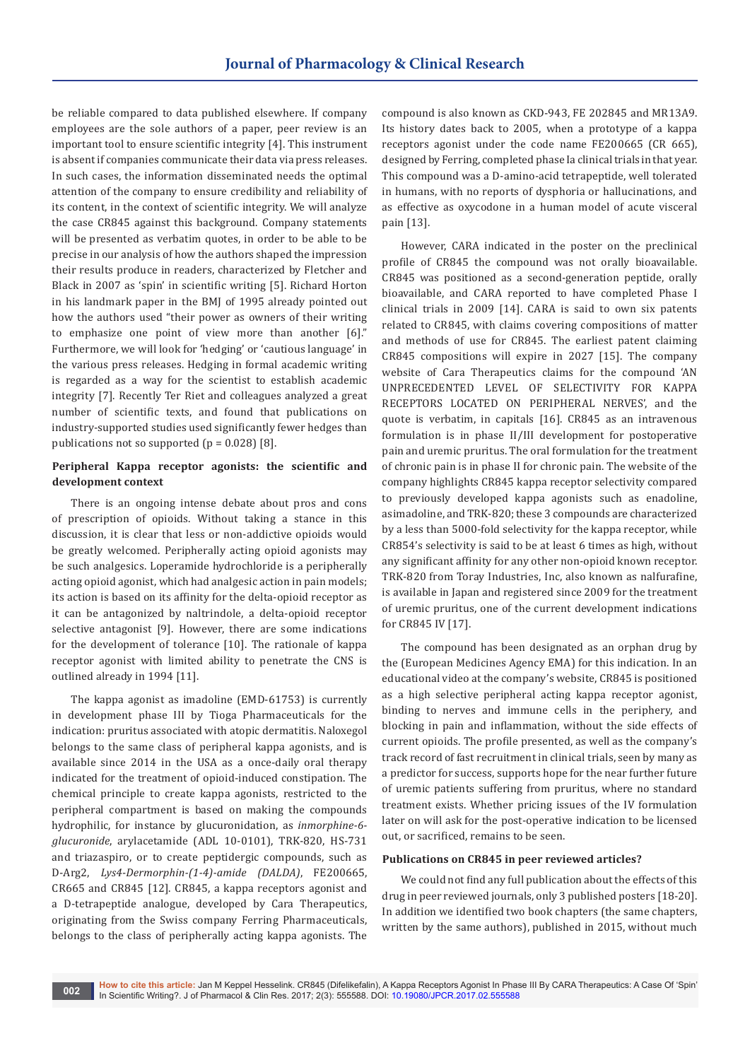be reliable compared to data published elsewhere. If company employees are the sole authors of a paper, peer review is an important tool to ensure scientific integrity [4]. This instrument is absent if companies communicate their data via press releases. In such cases, the information disseminated needs the optimal attention of the company to ensure credibility and reliability of its content, in the context of scientific integrity. We will analyze the case CR845 against this background. Company statements will be presented as verbatim quotes, in order to be able to be precise in our analysis of how the authors shaped the impression their results produce in readers, characterized by Fletcher and Black in 2007 as 'spin' in scientific writing [5]. Richard Horton in his landmark paper in the BMJ of 1995 already pointed out how the authors used "their power as owners of their writing to emphasize one point of view more than another [6]." Furthermore, we will look for 'hedging' or 'cautious language' in the various press releases. Hedging in formal academic writing is regarded as a way for the scientist to establish academic integrity [7]. Recently Ter Riet and colleagues analyzed a great number of scientific texts, and found that publications on industry-supported studies used significantly fewer hedges than publications not so supported  $(p = 0.028)$  [8].

# **Peripheral Kappa receptor agonists: the scientific and development context**

There is an ongoing intense debate about pros and cons of prescription of opioids. Without taking a stance in this discussion, it is clear that less or non-addictive opioids would be greatly welcomed. Peripherally acting opioid agonists may be such analgesics. Loperamide hydrochloride is a peripherally acting opioid agonist, which had analgesic action in pain models; its action is based on its affinity for the delta-opioid receptor as it can be antagonized by naltrindole, a delta-opioid receptor selective antagonist [9]. However, there are some indications for the development of tolerance [10]. The rationale of kappa receptor agonist with limited ability to penetrate the CNS is outlined already in 1994 [11].

The kappa agonist as imadoline (EMD-61753) is currently in development phase III by Tioga Pharmaceuticals for the indication: pruritus associated with atopic dermatitis. Naloxegol belongs to the same class of peripheral kappa agonists, and is available since 2014 in the USA as a once-daily oral therapy indicated for the treatment of opioid-induced constipation. The chemical principle to create kappa agonists, restricted to the peripheral compartment is based on making the compounds hydrophilic, for instance by glucuronidation, as *inmorphine-6 glucuronide*, arylacetamide (ADL 10-0101), TRK-820, HS-731 and triazaspiro, or to create peptidergic compounds, such as D-Arg2, *Lys4-Dermorphin-(1-4)-amide (DALDA)*, FE200665, CR665 and CR845 [12]. CR845, a kappa receptors agonist and a D-tetrapeptide analogue, developed by Cara Therapeutics, originating from the Swiss company Ferring Pharmaceuticals, belongs to the class of peripherally acting kappa agonists. The

compound is also known as CKD-943, FE 202845 and MR13A9. Its history dates back to 2005, when a prototype of a kappa receptors agonist under the code name FE200665 (CR 665), designed by Ferring, completed phase Ia clinical trials in that year. This compound was a D-amino-acid tetrapeptide, well tolerated in humans, with no reports of dysphoria or hallucinations, and as effective as oxycodone in a human model of acute visceral pain [13].

However, CARA indicated in the poster on the preclinical profile of CR845 the compound was not orally bioavailable. CR845 was positioned as a second-generation peptide, orally bioavailable, and CARA reported to have completed Phase I clinical trials in 2009 [14]. CARA is said to own six patents related to CR845, with claims covering compositions of matter and methods of use for CR845. The earliest patent claiming CR845 compositions will expire in 2027 [15]. The company website of Cara Therapeutics claims for the compound 'AN UNPRECEDENTED LEVEL OF SELECTIVITY FOR KAPPA RECEPTORS LOCATED ON PERIPHERAL NERVES', and the quote is verbatim, in capitals [16]. CR845 as an intravenous formulation is in phase II/III development for postoperative pain and uremic pruritus. The oral formulation for the treatment of chronic pain is in phase II for chronic pain. The website of the company highlights CR845 kappa receptor selectivity compared to previously developed kappa agonists such as enadoline, asimadoline, and TRK-820; these 3 compounds are characterized by a less than 5000-fold selectivity for the kappa receptor, while CR854's selectivity is said to be at least 6 times as high, without any significant affinity for any other non-opioid known receptor. TRK-820 from Toray Industries, Inc, also known as nalfurafine, is available in Japan and registered since 2009 for the treatment of uremic pruritus, one of the current development indications for CR845 IV [17].

The compound has been designated as an orphan drug by the (European Medicines Agency EMA) for this indication. In an educational video at the company's website, CR845 is positioned as a high selective peripheral acting kappa receptor agonist, binding to nerves and immune cells in the periphery, and blocking in pain and inflammation, without the side effects of current opioids. The profile presented, as well as the company's track record of fast recruitment in clinical trials, seen by many as a predictor for success, supports hope for the near further future of uremic patients suffering from pruritus, where no standard treatment exists. Whether pricing issues of the IV formulation later on will ask for the post-operative indication to be licensed out, or sacrificed, remains to be seen.

## **Publications on CR845 in peer reviewed articles?**

We could not find any full publication about the effects of this drug in peer reviewed journals, only 3 published posters [18-20]. In addition we identified two book chapters (the same chapters, written by the same authors), published in 2015, without much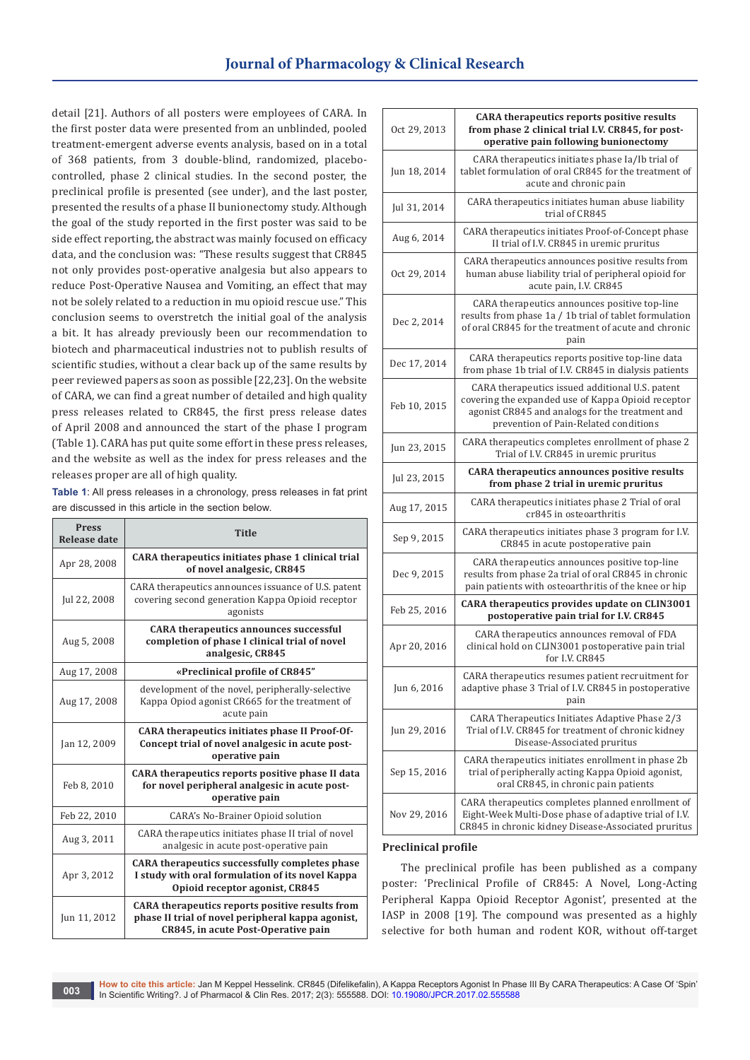detail [21]. Authors of all posters were employees of CARA. In the first poster data were presented from an unblinded, pooled treatment-emergent adverse events analysis, based on in a total of 368 patients, from 3 double-blind, randomized, placebocontrolled, phase 2 clinical studies. In the second poster, the preclinical profile is presented (see under), and the last poster, presented the results of a phase II bunionectomy study. Although the goal of the study reported in the first poster was said to be side effect reporting, the abstract was mainly focused on efficacy data, and the conclusion was: "These results suggest that CR845 not only provides post-operative analgesia but also appears to reduce Post-Operative Nausea and Vomiting, an effect that may not be solely related to a reduction in mu opioid rescue use." This conclusion seems to overstretch the initial goal of the analysis a bit. It has already previously been our recommendation to biotech and pharmaceutical industries not to publish results of scientific studies, without a clear back up of the same results by peer reviewed papers as soon as possible [22,23]. On the website of CARA, we can find a great number of detailed and high quality press releases related to CR845, the first press release dates of April 2008 and announced the start of the phase I program (Table 1). CARA has put quite some effort in these press releases, and the website as well as the index for press releases and the releases proper are all of high quality.

| <b>Table 1:</b> All press releases in a chronology, press releases in fat print |
|---------------------------------------------------------------------------------|
| are discussed in this article in the section below.                             |

| <b>Press</b><br>Release date | <b>Title</b>                                                                                                                                |
|------------------------------|---------------------------------------------------------------------------------------------------------------------------------------------|
| Apr 28, 2008                 | CARA therapeutics initiates phase 1 clinical trial<br>of novel analgesic, CR845                                                             |
| Jul 22, 2008                 | CARA therapeutics announces issuance of U.S. patent<br>covering second generation Kappa Opioid receptor<br>agonists                         |
| Aug 5, 2008                  | <b>CARA therapeutics announces successful</b><br>completion of phase I clinical trial of novel<br>analgesic, CR845                          |
| Aug 17, 2008                 | «Preclinical profile of CR845"                                                                                                              |
| Aug 17, 2008                 | development of the novel, peripherally-selective<br>Kappa Opiod agonist CR665 for the treatment of<br>acute pain                            |
| Jan 12, 2009                 | <b>CARA therapeutics initiates phase II Proof-Of-</b><br>Concept trial of novel analgesic in acute post-<br>operative pain                  |
| Feb 8, 2010                  | CARA therapeutics reports positive phase II data<br>for novel peripheral analgesic in acute post-<br>operative pain                         |
| Feb 22, 2010                 | CARA's No-Brainer Opioid solution                                                                                                           |
| Aug 3, 2011                  | CARA therapeutics initiates phase II trial of novel<br>analgesic in acute post-operative pain                                               |
| Apr 3, 2012                  | CARA therapeutics successfully completes phase<br>I study with oral formulation of its novel Kappa<br>Opioid receptor agonist, CR845        |
| Jun 11, 2012                 | CARA therapeutics reports positive results from<br>phase II trial of novel peripheral kappa agonist,<br>CR845, in acute Post-Operative pain |

| Oct 29, 2013 | CARA therapeutics reports positive results<br>from phase 2 clinical trial I.V. CR845, for post-<br>operative pain following bunionectomy                                                          |
|--------------|---------------------------------------------------------------------------------------------------------------------------------------------------------------------------------------------------|
| Jun 18, 2014 | CARA therapeutics initiates phase Ia/Ib trial of<br>tablet formulation of oral CR845 for the treatment of<br>acute and chronic pain                                                               |
| Jul 31, 2014 | CARA therapeutics initiates human abuse liability<br>trial of CR845                                                                                                                               |
| Aug 6, 2014  | CARA therapeutics initiates Proof-of-Concept phase<br>II trial of I.V. CR845 in uremic pruritus                                                                                                   |
| Oct 29, 2014 | CARA therapeutics announces positive results from<br>human abuse liability trial of peripheral opioid for<br>acute pain, I.V. CR845                                                               |
| Dec 2, 2014  | CARA therapeutics announces positive top-line<br>results from phase 1a / 1b trial of tablet formulation<br>of oral CR845 for the treatment of acute and chronic<br>pain                           |
| Dec 17, 2014 | CARA therapeutics reports positive top-line data<br>from phase 1b trial of I.V. CR845 in dialysis patients                                                                                        |
| Feb 10, 2015 | CARA therapeutics issued additional U.S. patent<br>covering the expanded use of Kappa Opioid receptor<br>agonist CR845 and analogs for the treatment and<br>prevention of Pain-Related conditions |
| Jun 23, 2015 | CARA therapeutics completes enrollment of phase 2<br>Trial of I.V. CR845 in uremic pruritus                                                                                                       |
| Jul 23, 2015 | CARA therapeutics announces positive results<br>from phase 2 trial in uremic pruritus                                                                                                             |
| Aug 17, 2015 | CARA therapeutics initiates phase 2 Trial of oral<br>cr845 in osteoarthritis                                                                                                                      |
| Sep 9, 2015  | CARA therapeutics initiates phase 3 program for I.V.<br>CR845 in acute postoperative pain                                                                                                         |
| Dec 9, 2015  | CARA therapeutics announces positive top-line<br>results from phase 2a trial of oral CR845 in chronic<br>pain patients with osteoarthritis of the knee or hip                                     |
| Feb 25, 2016 | CARA therapeutics provides update on CLIN3001<br>postoperative pain trial for I.V. CR845                                                                                                          |
| Apr 20, 2016 | CARA therapeutics announces removal of FDA<br>clinical hold on CLIN3001 postoperative pain trial<br>for I.V. CR845                                                                                |
| Jun 6, 2016  | CARA therapeutics resumes patient recruitment for<br>adaptive phase 3 Trial of I.V. CR845 in postoperative<br>pain                                                                                |
| Jun 29, 2016 | CARA Therapeutics Initiates Adaptive Phase 2/3<br>Trial of I.V. CR845 for treatment of chronic kidney<br>Disease-Associated pruritus                                                              |
| Sep 15, 2016 | CARA therapeutics initiates enrollment in phase 2b<br>trial of peripherally acting Kappa Opioid agonist,<br>oral CR845, in chronic pain patients                                                  |
| Nov 29, 2016 | CARA therapeutics completes planned enrollment of<br>Eight-Week Multi-Dose phase of adaptive trial of I.V.<br>CR845 in chronic kidney Disease-Associated pruritus                                 |

## **Preclinical profile**

The preclinical profile has been published as a company poster: 'Preclinical Profile of CR845: A Novel, Long-Acting Peripheral Kappa Opioid Receptor Agonist', presented at the IASP in 2008 [19]. The compound was presented as a highly selective for both human and rodent KOR, without off-target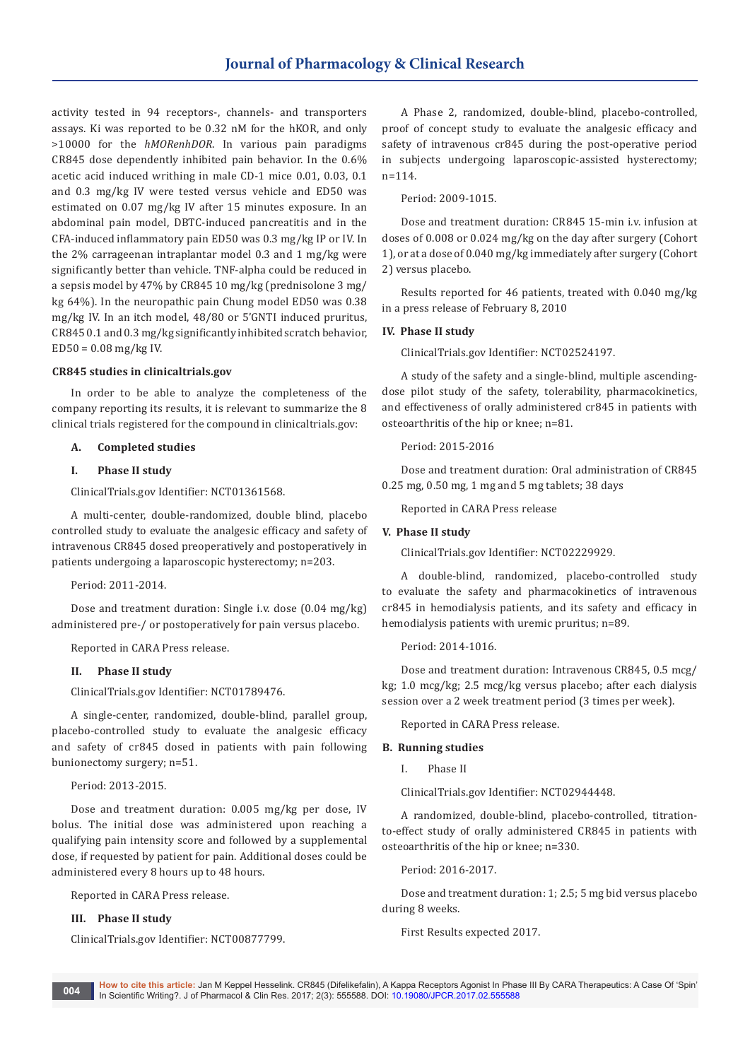activity tested in 94 receptors-, channels- and transporters assays. Ki was reported to be 0.32 nM for the hKOR, and only >10000 for the *hMORenhDOR*. In various pain paradigms CR845 dose dependently inhibited pain behavior. In the 0.6% acetic acid induced writhing in male CD-1 mice 0.01, 0.03, 0.1 and 0.3 mg/kg IV were tested versus vehicle and ED50 was estimated on 0.07 mg/kg IV after 15 minutes exposure. In an abdominal pain model, DBTC-induced pancreatitis and in the CFA-induced inflammatory pain ED50 was 0.3 mg/kg IP or IV. In the 2% carrageenan intraplantar model 0.3 and 1 mg/kg were significantly better than vehicle. TNF-alpha could be reduced in a sepsis model by 47% by CR845 10 mg/kg (prednisolone 3 mg/ kg 64%). In the neuropathic pain Chung model ED50 was 0.38 mg/kg IV. In an itch model, 48/80 or 5'GNTI induced pruritus, CR845 0.1 and 0.3 mg/kg significantly inhibited scratch behavior,  $ED50 = 0.08$  mg/kg IV.

## **CR845 studies in clinicaltrials.gov**

In order to be able to analyze the completeness of the company reporting its results, it is relevant to summarize the 8 clinical trials registered for the compound in clinicaltrials.gov:

## **A. Completed studies**

## **I. Phase II study**

ClinicalTrials.gov Identifier: NCT01361568.

A multi-center, double-randomized, double blind, placebo controlled study to evaluate the analgesic efficacy and safety of intravenous CR845 dosed preoperatively and postoperatively in patients undergoing a laparoscopic hysterectomy; n=203.

Period: 2011-2014.

Dose and treatment duration: Single i.v. dose (0.04 mg/kg) administered pre-/ or postoperatively for pain versus placebo.

Reported in CARA Press release.

## **II. Phase II study**

ClinicalTrials.gov Identifier: NCT01789476.

A single-center, randomized, double-blind, parallel group, placebo-controlled study to evaluate the analgesic efficacy and safety of cr845 dosed in patients with pain following bunionectomy surgery; n=51.

Period: 2013-2015.

Dose and treatment duration: 0.005 mg/kg per dose, IV bolus. The initial dose was administered upon reaching a qualifying pain intensity score and followed by a supplemental dose, if requested by patient for pain. Additional doses could be administered every 8 hours up to 48 hours.

Reported in CARA Press release.

#### **III. Phase II study**

ClinicalTrials.gov Identifier: NCT00877799.

A Phase 2, randomized, double-blind, placebo-controlled, proof of concept study to evaluate the analgesic efficacy and safety of intravenous cr845 during the post-operative period in subjects undergoing laparoscopic-assisted hysterectomy; n=114.

Period: 2009-1015.

Dose and treatment duration: CR845 15-min i.v. infusion at doses of 0.008 or 0.024 mg/kg on the day after surgery (Cohort 1), or at a dose of 0.040 mg/kg immediately after surgery (Cohort 2) versus placebo.

Results reported for 46 patients, treated with 0.040 mg/kg in a press release of February 8, 2010

## **IV. Phase II study**

ClinicalTrials.gov Identifier: NCT02524197.

A study of the safety and a single-blind, multiple ascendingdose pilot study of the safety, tolerability, pharmacokinetics, and effectiveness of orally administered cr845 in patients with osteoarthritis of the hip or knee; n=81.

Period: 2015-2016

Dose and treatment duration: Oral administration of CR845 0.25 mg, 0.50 mg, 1 mg and 5 mg tablets; 38 days

Reported in CARA Press release

## **V. Phase II study**

ClinicalTrials.gov Identifier: NCT02229929.

A double-blind, randomized, placebo-controlled study to evaluate the safety and pharmacokinetics of intravenous cr845 in hemodialysis patients, and its safety and efficacy in hemodialysis patients with uremic pruritus; n=89.

Period: 2014-1016.

Dose and treatment duration: Intravenous CR845, 0.5 mcg/ kg; 1.0 mcg/kg; 2.5 mcg/kg versus placebo; after each dialysis session over a 2 week treatment period (3 times per week).

Reported in CARA Press release.

#### **B. Running studies**

I. Phase II

ClinicalTrials.gov Identifier: NCT02944448.

A randomized, double-blind, placebo-controlled, titrationto-effect study of orally administered CR845 in patients with osteoarthritis of the hip or knee; n=330.

Period: 2016-2017.

Dose and treatment duration: 1; 2.5; 5 mg bid versus placebo during 8 weeks.

First Results expected 2017.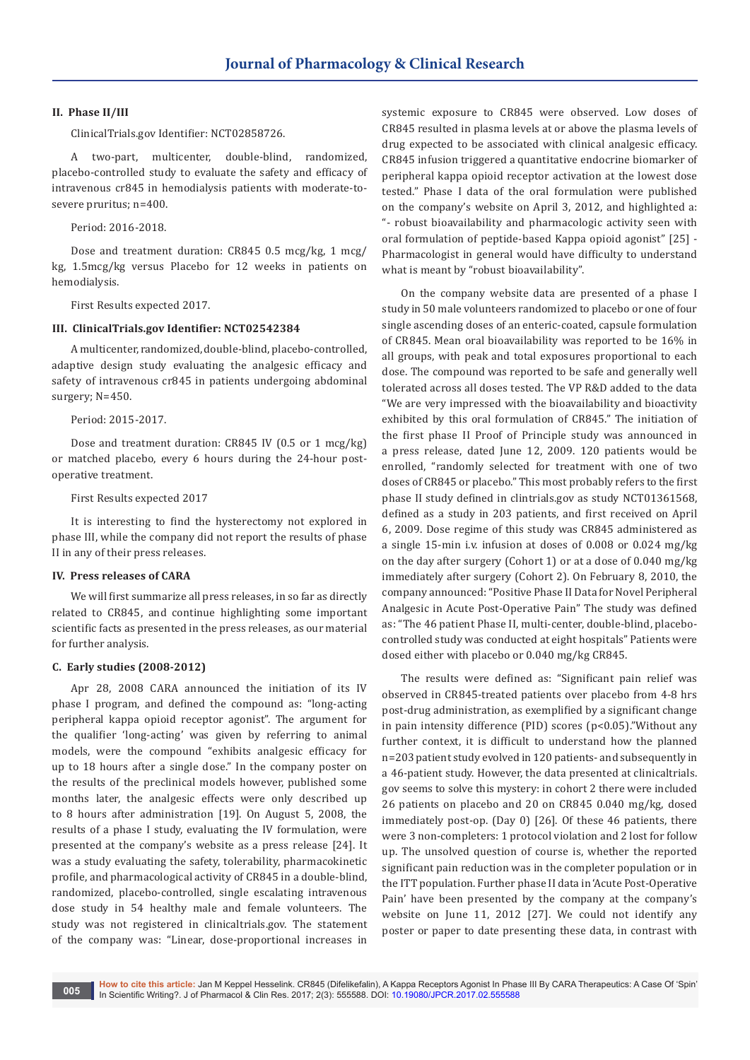## **II. Phase II/III**

ClinicalTrials.gov Identifier: NCT02858726.

A two-part, multicenter, double-blind, randomized, placebo-controlled study to evaluate the safety and efficacy of intravenous cr845 in hemodialysis patients with moderate-tosevere pruritus; n=400.

## Period: 2016-2018.

Dose and treatment duration: CR845 0.5 mcg/kg, 1 mcg/ kg, 1.5mcg/kg versus Placebo for 12 weeks in patients on hemodialysis.

First Results expected 2017.

## **III. ClinicalTrials.gov Identifier: NCT02542384**

A multicenter, randomized, double-blind, placebo-controlled, adaptive design study evaluating the analgesic efficacy and safety of intravenous cr845 in patients undergoing abdominal surgery; N=450.

#### Period: 2015-2017.

Dose and treatment duration: CR845 IV (0.5 or 1 mcg/kg) or matched placebo, every 6 hours during the 24-hour postoperative treatment.

#### First Results expected 2017

It is interesting to find the hysterectomy not explored in phase III, while the company did not report the results of phase II in any of their press releases.

## **IV. Press releases of CARA**

We will first summarize all press releases, in so far as directly related to CR845, and continue highlighting some important scientific facts as presented in the press releases, as our material for further analysis.

## **C. Early studies (2008-2012)**

Apr 28, 2008 CARA announced the initiation of its IV phase I program, and defined the compound as: "long-acting peripheral kappa opioid receptor agonist". The argument for the qualifier 'long-acting' was given by referring to animal models, were the compound "exhibits analgesic efficacy for up to 18 hours after a single dose." In the company poster on the results of the preclinical models however, published some months later, the analgesic effects were only described up to 8 hours after administration [19]. On August 5, 2008, the results of a phase I study, evaluating the IV formulation, were presented at the company's website as a press release [24]. It was a study evaluating the safety, tolerability, pharmacokinetic profile, and pharmacological activity of CR845 in a double-blind, randomized, placebo-controlled, single escalating intravenous dose study in 54 healthy male and female volunteers. The study was not registered in clinicaltrials.gov. The statement of the company was: "Linear, dose-proportional increases in

systemic exposure to CR845 were observed. Low doses of CR845 resulted in plasma levels at or above the plasma levels of drug expected to be associated with clinical analgesic efficacy. CR845 infusion triggered a quantitative endocrine biomarker of peripheral kappa opioid receptor activation at the lowest dose tested." Phase I data of the oral formulation were published on the company's website on April 3, 2012, and highlighted a: "- robust bioavailability and pharmacologic activity seen with oral formulation of peptide-based Kappa opioid agonist" [25] - Pharmacologist in general would have difficulty to understand what is meant by "robust bioavailability".

On the company website data are presented of a phase I study in 50 male volunteers randomized to placebo or one of four single ascending doses of an enteric-coated, capsule formulation of CR845. Mean oral bioavailability was reported to be 16% in all groups, with peak and total exposures proportional to each dose. The compound was reported to be safe and generally well tolerated across all doses tested. The VP R&D added to the data "We are very impressed with the bioavailability and bioactivity exhibited by this oral formulation of CR845." The initiation of the first phase II Proof of Principle study was announced in a press release, dated June 12, 2009. 120 patients would be enrolled, "randomly selected for treatment with one of two doses of CR845 or placebo." This most probably refers to the first phase II study defined in clintrials.gov as study NCT01361568, defined as a study in 203 patients, and first received on April 6, 2009. Dose regime of this study was CR845 administered as a single 15-min i.v. infusion at doses of 0.008 or 0.024 mg/kg on the day after surgery (Cohort 1) or at a dose of 0.040 mg/kg immediately after surgery (Cohort 2). On February 8, 2010, the company announced: "Positive Phase II Data for Novel Peripheral Analgesic in Acute Post-Operative Pain" The study was defined as: "The 46 patient Phase II, multi-center, double-blind, placebocontrolled study was conducted at eight hospitals" Patients were dosed either with placebo or 0.040 mg/kg CR845.

The results were defined as: "Significant pain relief was observed in CR845-treated patients over placebo from 4-8 hrs post-drug administration, as exemplified by a significant change in pain intensity difference (PID) scores (p<0.05)."Without any further context, it is difficult to understand how the planned n=203 patient study evolved in 120 patients- and subsequently in a 46-patient study. However, the data presented at clinicaltrials. gov seems to solve this mystery: in cohort 2 there were included 26 patients on placebo and 20 on CR845 0.040 mg/kg, dosed immediately post-op. (Day 0) [26]. Of these 46 patients, there were 3 non-completers: 1 protocol violation and 2 lost for follow up. The unsolved question of course is, whether the reported significant pain reduction was in the completer population or in the ITT population. Further phase II data in 'Acute Post-Operative Pain' have been presented by the company at the company's website on June 11, 2012 [27]. We could not identify any poster or paper to date presenting these data, in contrast with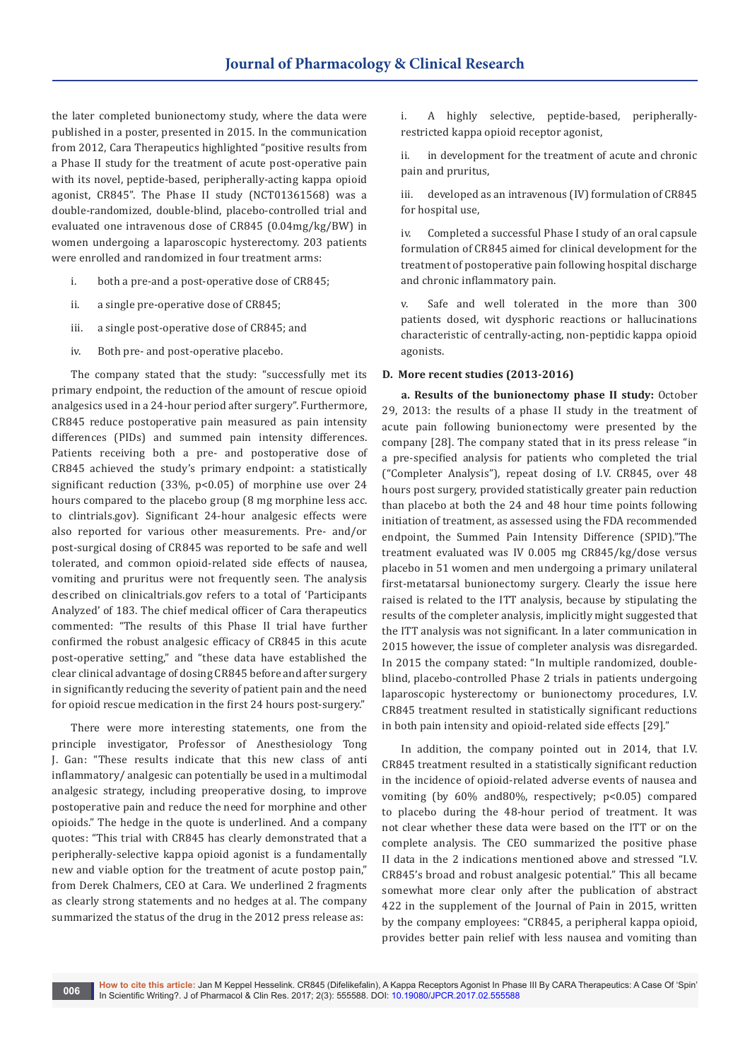the later completed bunionectomy study, where the data were published in a poster, presented in 2015. In the communication from 2012, Cara Therapeutics highlighted "positive results from a Phase II study for the treatment of acute post-operative pain with its novel, peptide-based, peripherally-acting kappa opioid agonist, CR845". The Phase II study (NCT01361568) was a double-randomized, double-blind, placebo-controlled trial and evaluated one intravenous dose of CR845 (0.04mg/kg/BW) in women undergoing a laparoscopic hysterectomy. 203 patients were enrolled and randomized in four treatment arms:

- i. both a pre-and a post-operative dose of CR845;
- ii. a single pre-operative dose of CR845;
- iii. a single post-operative dose of CR845; and
- iv. Both pre- and post-operative placebo.

The company stated that the study: "successfully met its primary endpoint, the reduction of the amount of rescue opioid analgesics used in a 24-hour period after surgery". Furthermore, CR845 reduce postoperative pain measured as pain intensity differences (PIDs) and summed pain intensity differences. Patients receiving both a pre- and postoperative dose of CR845 achieved the study's primary endpoint: a statistically significant reduction  $(33\% , p<0.05)$  of morphine use over 24 hours compared to the placebo group (8 mg morphine less acc. to clintrials.gov). Significant 24-hour analgesic effects were also reported for various other measurements. Pre- and/or post-surgical dosing of CR845 was reported to be safe and well tolerated, and common opioid-related side effects of nausea, vomiting and pruritus were not frequently seen. The analysis described on clinicaltrials.gov refers to a total of 'Participants Analyzed' of 183. The chief medical officer of Cara therapeutics commented: "The results of this Phase II trial have further confirmed the robust analgesic efficacy of CR845 in this acute post-operative setting," and "these data have established the clear clinical advantage of dosing CR845 before and after surgery in significantly reducing the severity of patient pain and the need for opioid rescue medication in the first 24 hours post-surgery."

There were more interesting statements, one from the principle investigator, Professor of Anesthesiology Tong J. Gan: "These results indicate that this new class of anti inflammatory/ analgesic can potentially be used in a multimodal analgesic strategy, including preoperative dosing, to improve postoperative pain and reduce the need for morphine and other opioids." The hedge in the quote is underlined. And a company quotes: "This trial with CR845 has clearly demonstrated that a peripherally-selective kappa opioid agonist is a fundamentally new and viable option for the treatment of acute postop pain," from Derek Chalmers, CEO at Cara. We underlined 2 fragments as clearly strong statements and no hedges at al. The company summarized the status of the drug in the 2012 press release as:

i. A highly selective, peptide-based, peripherallyrestricted kappa opioid receptor agonist,

ii. in development for the treatment of acute and chronic pain and pruritus,

iii. developed as an intravenous (IV) formulation of CR845 for hospital use,

iv. Completed a successful Phase I study of an oral capsule formulation of CR845 aimed for clinical development for the treatment of postoperative pain following hospital discharge and chronic inflammatory pain.

v. Safe and well tolerated in the more than 300 patients dosed, wit dysphoric reactions or hallucinations characteristic of centrally-acting, non-peptidic kappa opioid agonists.

#### **D. More recent studies (2013-2016)**

**a. Results of the bunionectomy phase II study:** October 29, 2013: the results of a phase II study in the treatment of acute pain following bunionectomy were presented by the company [28]. The company stated that in its press release "in a pre-specified analysis for patients who completed the trial ("Completer Analysis"), repeat dosing of I.V. CR845, over 48 hours post surgery, provided statistically greater pain reduction than placebo at both the 24 and 48 hour time points following initiation of treatment, as assessed using the FDA recommended endpoint, the Summed Pain Intensity Difference (SPID)."The treatment evaluated was IV 0.005 mg CR845/kg/dose versus placebo in 51 women and men undergoing a primary unilateral first-metatarsal bunionectomy surgery. Clearly the issue here raised is related to the ITT analysis, because by stipulating the results of the completer analysis, implicitly might suggested that the ITT analysis was not significant. In a later communication in 2015 however, the issue of completer analysis was disregarded. In 2015 the company stated: "In multiple randomized, doubleblind, placebo-controlled Phase 2 trials in patients undergoing laparoscopic hysterectomy or bunionectomy procedures, I.V. CR845 treatment resulted in statistically significant reductions in both pain intensity and opioid-related side effects [29]."

In addition, the company pointed out in 2014, that I.V. CR845 treatment resulted in a statistically significant reduction in the incidence of opioid-related adverse events of nausea and vomiting (by 60% and80%, respectively; p<0.05) compared to placebo during the 48-hour period of treatment. It was not clear whether these data were based on the ITT or on the complete analysis. The CEO summarized the positive phase II data in the 2 indications mentioned above and stressed "I.V. CR845's broad and robust analgesic potential." This all became somewhat more clear only after the publication of abstract 422 in the supplement of the Journal of Pain in 2015, written by the company employees: "CR845, a peripheral kappa opioid, provides better pain relief with less nausea and vomiting than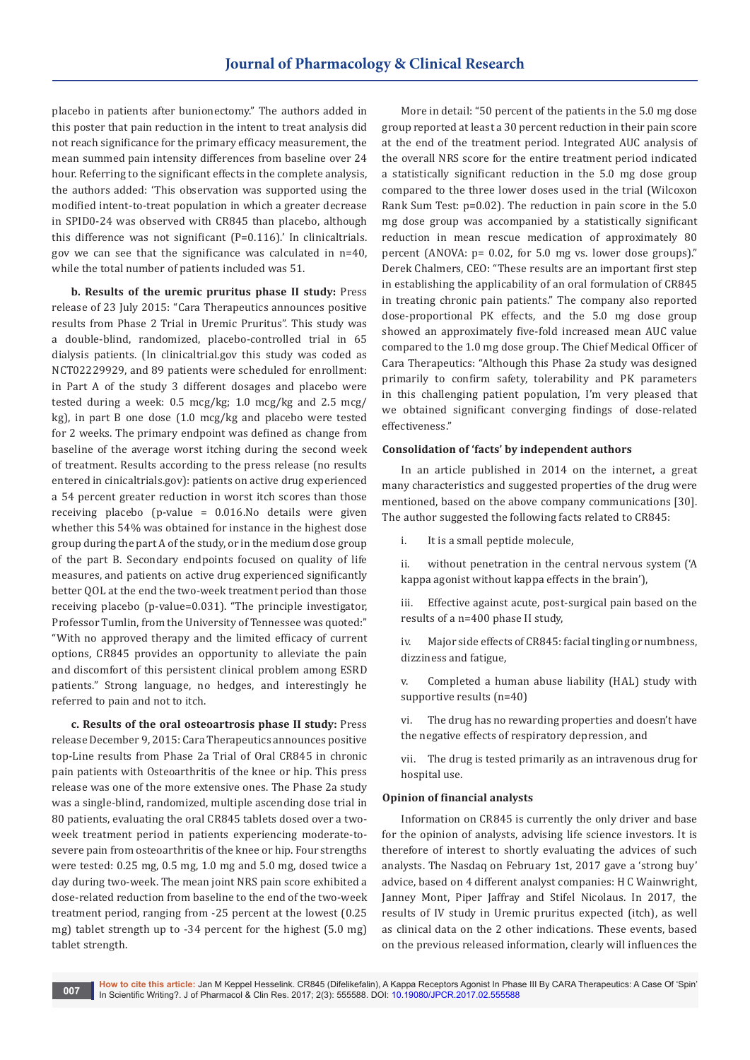placebo in patients after bunionectomy." The authors added in this poster that pain reduction in the intent to treat analysis did not reach significance for the primary efficacy measurement, the mean summed pain intensity differences from baseline over 24 hour. Referring to the significant effects in the complete analysis, the authors added: 'This observation was supported using the modified intent-to-treat population in which a greater decrease in SPID0-24 was observed with CR845 than placebo, although this difference was not significant  $(P=0.116)$ .' In clinicaltrials. gov we can see that the significance was calculated in n=40, while the total number of patients included was 51.

**b. Results of the uremic pruritus phase II study:** Press release of 23 July 2015: "Cara Therapeutics announces positive results from Phase 2 Trial in Uremic Pruritus". This study was a double-blind, randomized, placebo-controlled trial in 65 dialysis patients. (In clinicaltrial.gov this study was coded as NCT02229929, and 89 patients were scheduled for enrollment: in Part A of the study 3 different dosages and placebo were tested during a week: 0.5 mcg/kg; 1.0 mcg/kg and 2.5 mcg/ kg), in part B one dose (1.0 mcg/kg and placebo were tested for 2 weeks. The primary endpoint was defined as change from baseline of the average worst itching during the second week of treatment. Results according to the press release (no results entered in cinicaltrials.gov): patients on active drug experienced a 54 percent greater reduction in worst itch scores than those receiving placebo (p-value = 0.016.No details were given whether this 54% was obtained for instance in the highest dose group during the part A of the study, or in the medium dose group of the part B. Secondary endpoints focused on quality of life measures, and patients on active drug experienced significantly better QOL at the end the two-week treatment period than those receiving placebo (p-value=0.031). "The principle investigator, Professor Tumlin, from the University of Tennessee was quoted:" "With no approved therapy and the limited efficacy of current options, CR845 provides an opportunity to alleviate the pain and discomfort of this persistent clinical problem among ESRD patients." Strong language, no hedges, and interestingly he referred to pain and not to itch.

**c. Results of the oral osteoartrosis phase II study:** Press release December 9, 2015: Cara Therapeutics announces positive top-Line results from Phase 2a Trial of Oral CR845 in chronic pain patients with Osteoarthritis of the knee or hip. This press release was one of the more extensive ones. The Phase 2a study was a single-blind, randomized, multiple ascending dose trial in 80 patients, evaluating the oral CR845 tablets dosed over a twoweek treatment period in patients experiencing moderate-tosevere pain from osteoarthritis of the knee or hip. Four strengths were tested: 0.25 mg, 0.5 mg, 1.0 mg and 5.0 mg, dosed twice a day during two-week. The mean joint NRS pain score exhibited a dose-related reduction from baseline to the end of the two-week treatment period, ranging from -25 percent at the lowest (0.25 mg) tablet strength up to -34 percent for the highest (5.0 mg) tablet strength.

More in detail: "50 percent of the patients in the 5.0 mg dose group reported at least a 30 percent reduction in their pain score at the end of the treatment period. Integrated AUC analysis of the overall NRS score for the entire treatment period indicated a statistically significant reduction in the 5.0 mg dose group compared to the three lower doses used in the trial (Wilcoxon Rank Sum Test: p=0.02). The reduction in pain score in the 5.0 mg dose group was accompanied by a statistically significant reduction in mean rescue medication of approximately 80 percent (ANOVA: p= 0.02, for 5.0 mg vs. lower dose groups)." Derek Chalmers, CEO: "These results are an important first step in establishing the applicability of an oral formulation of CR845 in treating chronic pain patients." The company also reported dose-proportional PK effects, and the 5.0 mg dose group showed an approximately five-fold increased mean AUC value compared to the 1.0 mg dose group. The Chief Medical Officer of Cara Therapeutics: "Although this Phase 2a study was designed primarily to confirm safety, tolerability and PK parameters in this challenging patient population, I'm very pleased that we obtained significant converging findings of dose-related effectiveness."

#### **Consolidation of 'facts' by independent authors**

In an article published in 2014 on the internet, a great many characteristics and suggested properties of the drug were mentioned, based on the above company communications [30]. The author suggested the following facts related to CR845:

i. It is a small peptide molecule,

ii. without penetration in the central nervous system ('A kappa agonist without kappa effects in the brain'),

iii. Effective against acute, post-surgical pain based on the results of a n=400 phase II study,

iv. Major side effects of CR845: facial tingling or numbness, dizziness and fatigue,

v. Completed a human abuse liability (HAL) study with supportive results (n=40)

vi. The drug has no rewarding properties and doesn't have the negative effects of respiratory depression, and

vii. The drug is tested primarily as an intravenous drug for hospital use.

#### **Opinion of financial analysts**

Information on CR845 is currently the only driver and base for the opinion of analysts, advising life science investors. It is therefore of interest to shortly evaluating the advices of such analysts. The Nasdaq on February 1st, 2017 gave a 'strong buy' advice, based on 4 different analyst companies: H C Wainwright, Janney Mont, Piper Jaffray and Stifel Nicolaus. In 2017, the results of IV study in Uremic pruritus expected (itch), as well as clinical data on the 2 other indications. These events, based on the previous released information, clearly will influences the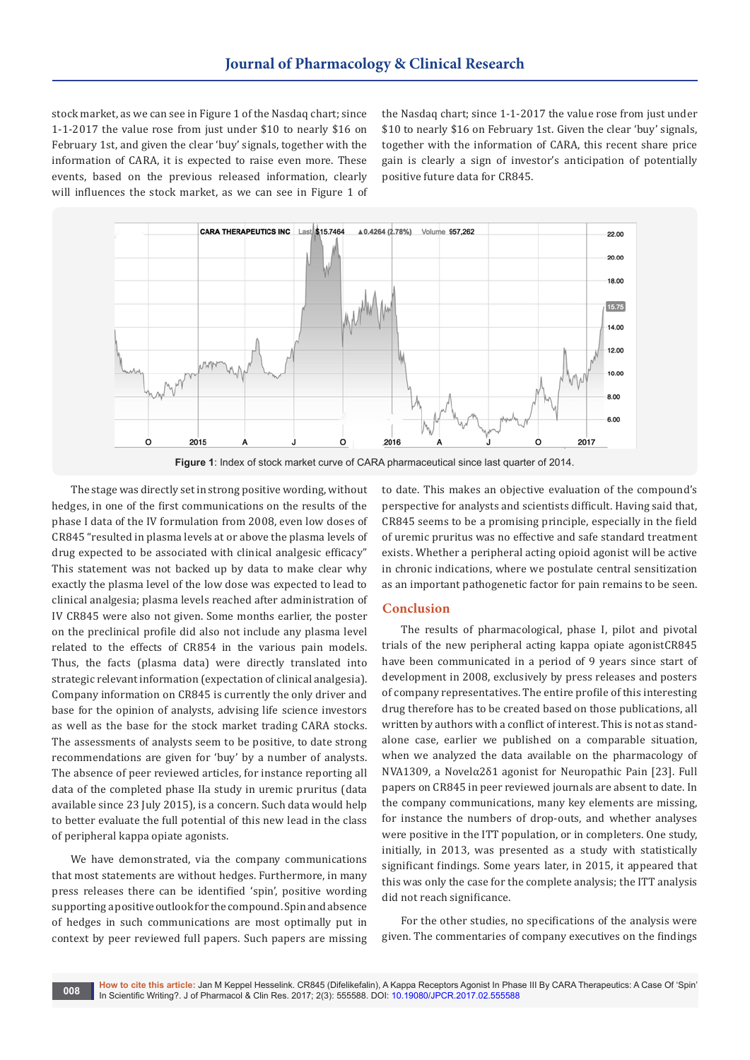stock market, as we can see in Figure 1 of the Nasdaq chart; since 1-1-2017 the value rose from just under \$10 to nearly \$16 on February 1st, and given the clear 'buy' signals, together with the information of CARA, it is expected to raise even more. These events, based on the previous released information, clearly will influences the stock market, as we can see in Figure 1 of the Nasdaq chart; since 1-1-2017 the value rose from just under \$10 to nearly \$16 on February 1st. Given the clear 'buy' signals, together with the information of CARA, this recent share price gain is clearly a sign of investor's anticipation of potentially positive future data for CR845.



**Figure 1**: Index of stock market curve of CARA pharmaceutical since last quarter of 2014.

The stage was directly set in strong positive wording, without hedges, in one of the first communications on the results of the phase I data of the IV formulation from 2008, even low doses of CR845 "resulted in plasma levels at or above the plasma levels of drug expected to be associated with clinical analgesic efficacy" This statement was not backed up by data to make clear why exactly the plasma level of the low dose was expected to lead to clinical analgesia; plasma levels reached after administration of IV CR845 were also not given. Some months earlier, the poster on the preclinical profile did also not include any plasma level related to the effects of CR854 in the various pain models. Thus, the facts (plasma data) were directly translated into strategic relevant information (expectation of clinical analgesia). Company information on CR845 is currently the only driver and base for the opinion of analysts, advising life science investors as well as the base for the stock market trading CARA stocks. The assessments of analysts seem to be positive, to date strong recommendations are given for 'buy' by a number of analysts. The absence of peer reviewed articles, for instance reporting all data of the completed phase IIa study in uremic pruritus (data available since 23 July 2015), is a concern. Such data would help to better evaluate the full potential of this new lead in the class of peripheral kappa opiate agonists.

We have demonstrated, via the company communications that most statements are without hedges. Furthermore, in many press releases there can be identified 'spin', positive wording supporting a positive outlook for the compound. Spin and absence of hedges in such communications are most optimally put in context by peer reviewed full papers. Such papers are missing to date. This makes an objective evaluation of the compound's perspective for analysts and scientists difficult. Having said that, CR845 seems to be a promising principle, especially in the field of uremic pruritus was no effective and safe standard treatment exists. Whether a peripheral acting opioid agonist will be active in chronic indications, where we postulate central sensitization as an important pathogenetic factor for pain remains to be seen.

## **Conclusion**

The results of pharmacological, phase I, pilot and pivotal trials of the new peripheral acting kappa opiate agonistCR845 have been communicated in a period of 9 years since start of development in 2008, exclusively by press releases and posters of company representatives. The entire profile of this interesting drug therefore has to be created based on those publications, all written by authors with a conflict of interest. This is not as standalone case, earlier we published on a comparable situation, when we analyzed the data available on the pharmacology of NVA1309, a Novelα2δ1 agonist for Neuropathic Pain [23]. Full papers on CR845 in peer reviewed journals are absent to date. In the company communications, many key elements are missing, for instance the numbers of drop-outs, and whether analyses were positive in the ITT population, or in completers. One study, initially, in 2013, was presented as a study with statistically significant findings. Some years later, in 2015, it appeared that this was only the case for the complete analysis; the ITT analysis did not reach significance.

For the other studies, no specifications of the analysis were given. The commentaries of company executives on the findings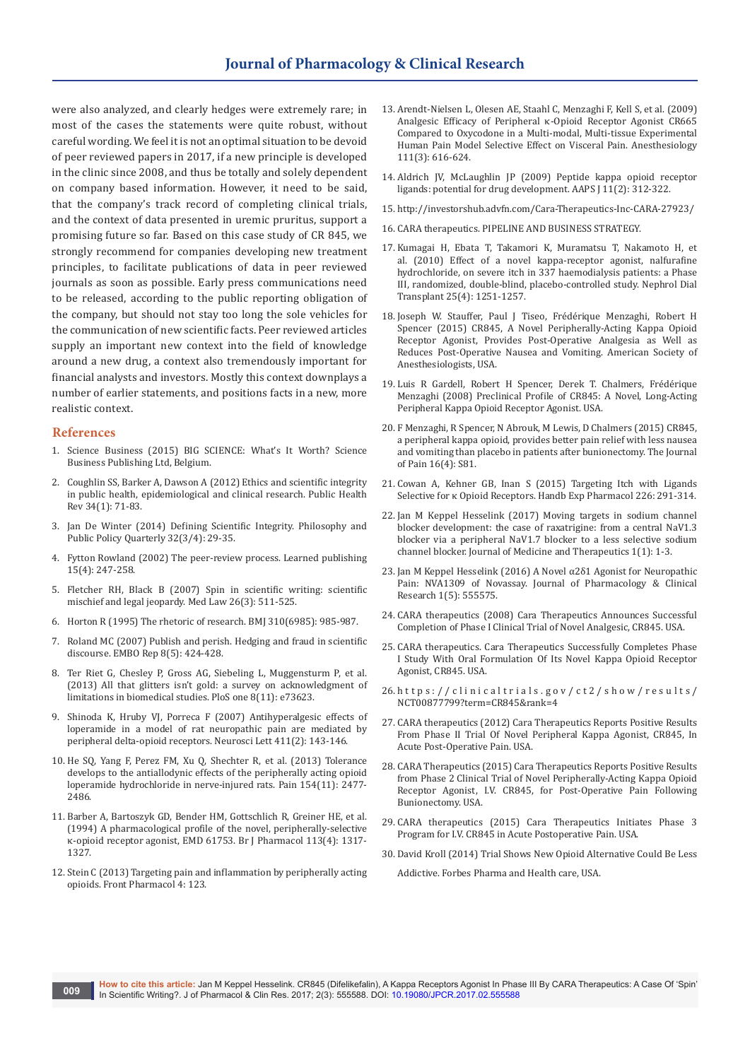were also analyzed, and clearly hedges were extremely rare; in most of the cases the statements were quite robust, without careful wording. We feel it is not an optimal situation to be devoid of peer reviewed papers in 2017, if a new principle is developed in the clinic since 2008, and thus be totally and solely dependent on company based information. However, it need to be said, that the company's track record of completing clinical trials, and the context of data presented in uremic pruritus, support a promising future so far. Based on this case study of CR 845, we strongly recommend for companies developing new treatment principles, to facilitate publications of data in peer reviewed journals as soon as possible. Early press communications need to be released, according to the public reporting obligation of the company, but should not stay too long the sole vehicles for the communication of new scientific facts. Peer reviewed articles supply an important new context into the field of knowledge around a new drug, a context also tremendously important for financial analysts and investors. Mostly this context downplays a number of earlier statements, and positions facts in a new, more realistic context.

## **References**

- 1. [Science Business \(2015\) BIG SCIENCE: What's It Worth? Science](http://www.attract-eu.org/uploads/3/8/0/4/38044307/bigscience_specialreport.pdf)  [Business Publishing Ltd, Belgium.](http://www.attract-eu.org/uploads/3/8/0/4/38044307/bigscience_specialreport.pdf)
- 2. [Coughlin SS, Barker A, Dawson A \(2012\) Ethics and scientific integrity](https://www.ncbi.nlm.nih.gov/pubmed/24532867)  [in public health, epidemiological and clinical research.](https://www.ncbi.nlm.nih.gov/pubmed/24532867) Public Health [Rev 34\(1\): 71-83.](https://www.ncbi.nlm.nih.gov/pubmed/24532867)
- 3. [Jan De Winter \(2014\) Defining Scientific Integrity. Philosophy and](http://journals.gmu.edu/PPPQ/article/view/580)  [Public Policy Quarterly 32\(3/4\): 29-35.](http://journals.gmu.edu/PPPQ/article/view/580)
- 4. [Fytton Rowland \(2002\) The peer-review process. Learned publishing](http://onlinelibrary.wiley.com/doi/10.1087/095315102760319206/abstract)  [15\(4\): 247-258.](http://onlinelibrary.wiley.com/doi/10.1087/095315102760319206/abstract)
- 5. [Fletcher RH, Black B \(2007\) Spin in scientific writing: scientific](https://www.ncbi.nlm.nih.gov/pubmed/17970249)  [mischief and legal jeopardy. Med Law 26\(3\): 511-525.](https://www.ncbi.nlm.nih.gov/pubmed/17970249)
- 6. [Horton R \(1995\) The rhetoric of research. BMJ 310\(6985\): 985-987.](https://www.ncbi.nlm.nih.gov/pubmed/0007728037)
- 7. [Roland MC \(2007\) Publish and perish. Hedging and fraud in scientific](https://www.ncbi.nlm.nih.gov/pubmed/17471254)  [discourse. EMBO Rep 8\(5\): 424-428.](https://www.ncbi.nlm.nih.gov/pubmed/17471254)
- 8. [Ter Riet G, Chesley P, Gross AG, Siebeling L, Muggensturm P, et al.](https://www.ncbi.nlm.nih.gov/pubmed/24324540)  [\(2013\) All that glitters isn't gold: a survey on acknowledgment of](https://www.ncbi.nlm.nih.gov/pubmed/24324540)  [limitations in biomedical studies. PloS one 8\(11\): e73623.](https://www.ncbi.nlm.nih.gov/pubmed/24324540)
- 9. [Shinoda K, Hruby VJ, Porreca F \(2007\) Antihyperalgesic effects of](https://www.ncbi.nlm.nih.gov/pubmed/17110034)  [loperamide in a model of rat neuropathic pain are mediated by](https://www.ncbi.nlm.nih.gov/pubmed/17110034)  [peripheral delta-opioid receptors. Neurosci Lett 411\(2\): 143-146.](https://www.ncbi.nlm.nih.gov/pubmed/17110034)
- 10. [He SQ, Yang F, Perez FM, Xu Q, Shechter R, et al. \(2013\) Tolerance](https://www.ncbi.nlm.nih.gov/pubmed/23880055)  [develops to the antiallodynic effects of the peripherally acting opioid](https://www.ncbi.nlm.nih.gov/pubmed/23880055)  [loperamide hydrochloride in nerve-injured rats. Pain 154\(11\): 2477-](https://www.ncbi.nlm.nih.gov/pubmed/23880055) [2486.](https://www.ncbi.nlm.nih.gov/pubmed/23880055)
- 11. [Barber A, Bartoszyk GD, Bender HM, Gottschlich R, Greiner HE, et al.](https://www.ncbi.nlm.nih.gov/pubmed/7889287)  [\(1994\) A pharmacological profile of the novel, peripherally-selective](https://www.ncbi.nlm.nih.gov/pubmed/7889287)  [κ-opioid receptor agonist, EMD 61753. Br J Pharmacol 113\(4\): 1317-](https://www.ncbi.nlm.nih.gov/pubmed/7889287) [1327.](https://www.ncbi.nlm.nih.gov/pubmed/7889287)
- 12. [Stein C \(2013\) Targeting pain and inflammation by peripherally acting](https://www.ncbi.nlm.nih.gov/pubmed/24068999)  [opioids. Front Pharmacol 4: 123.](https://www.ncbi.nlm.nih.gov/pubmed/24068999)
- 13. [Arendt-Nielsen L, Olesen AE, Staahl C, Menzaghi F, Kell S, et al. \(2009\)](https://www.ncbi.nlm.nih.gov/pubmed/19672186)  [Analgesic Efficacy of Peripheral κ-Opioid Receptor Agonist CR665](https://www.ncbi.nlm.nih.gov/pubmed/19672186)  [Compared to Oxycodone in a Multi-modal, Multi-tissue Experimental](https://www.ncbi.nlm.nih.gov/pubmed/19672186)  [Human Pain Model Selective Effect on Visceral Pain. Anesthesiology](https://www.ncbi.nlm.nih.gov/pubmed/19672186)  [111\(3\): 616-624.](https://www.ncbi.nlm.nih.gov/pubmed/19672186)
- 14. [Aldrich JV, McLaughlin JP \(2009\) Peptide kappa opioid receptor](https://www.ncbi.nlm.nih.gov/pubmed/19430912)  [ligands: potential for drug development. AAPS J 11\(2\): 312-322.](https://www.ncbi.nlm.nih.gov/pubmed/19430912)
- 15. <http://investorshub.advfn.com/Cara-Therapeutics-Inc-CARA-27923/>
- 16. [CARA therapeutics. PIPELINE AND BUSINESS STRATEGY.](http://www.caratherapeutics.com/pipeline-business-strategy.shtml)
- 17. [Kumagai H, Ebata T, Takamori K, Muramatsu T, Nakamoto H, et](https://www.ncbi.nlm.nih.gov/pubmed/19926718)  [al. \(2010\) Effect of a novel kappa-receptor agonist, nalfurafine](https://www.ncbi.nlm.nih.gov/pubmed/19926718)  [hydrochloride, on severe itch in 337 haemodialysis patients: a Phase](https://www.ncbi.nlm.nih.gov/pubmed/19926718)  [III, randomized, double-blind, placebo-controlled study. Nephrol Dial](https://www.ncbi.nlm.nih.gov/pubmed/19926718)  [Transplant 25\(4\): 1251-1257.](https://www.ncbi.nlm.nih.gov/pubmed/19926718)
- 18. [Joseph W. Stauffer, Paul J Tiseo, Frédérique Menzaghi, Robert H](http://www.asaabstracts.com/strands/asaabstracts/abstract.htm%20%20?year=2015&index=17&absnum=4544)  [Spencer \(2015\) CR845, A Novel Peripherally-Acting Kappa Opioid](http://www.asaabstracts.com/strands/asaabstracts/abstract.htm%20%20?year=2015&index=17&absnum=4544)  [Receptor Agonist, Provides Post-Operative Analgesia as Well as](http://www.asaabstracts.com/strands/asaabstracts/abstract.htm%20%20?year=2015&index=17&absnum=4544)  [Reduces Post-Operative Nausea and Vomiting. American Society of](http://www.asaabstracts.com/strands/asaabstracts/abstract.htm%20%20?year=2015&index=17&absnum=4544)  [Anesthesiologists, USA.](http://www.asaabstracts.com/strands/asaabstracts/abstract.htm%20%20?year=2015&index=17&absnum=4544)
- 19. [Luis R Gardell, Robert H Spencer, Derek T. Chalmers, Frédérique](http://files.shareholder.com/downloads/AMDA-2C4IM7/4044664582x0x707472/8dfbb204-4bc0-4a66-acf7-1ac8e9c31fa5/707472.pdf)  [Menzaghi \(2008\) Preclinical Profile of CR845: A Novel, Long-Acting](http://files.shareholder.com/downloads/AMDA-2C4IM7/4044664582x0x707472/8dfbb204-4bc0-4a66-acf7-1ac8e9c31fa5/707472.pdf)  [Peripheral Kappa Opioid Receptor Agonist. USA.](http://files.shareholder.com/downloads/AMDA-2C4IM7/4044664582x0x707472/8dfbb204-4bc0-4a66-acf7-1ac8e9c31fa5/707472.pdf)
- 20. [F Menzaghi, R Spencer, N Abrouk, M Lewis, D Chalmers \(2015\) CR845,](http://www.jpain.org/article/S1526-5900(15)00379-X/abstract)  [a peripheral kappa opioid, provides better pain relief with less nausea](http://www.jpain.org/article/S1526-5900(15)00379-X/abstract)  [and vomiting than placebo in patients after bunionectomy. The Journal](http://www.jpain.org/article/S1526-5900(15)00379-X/abstract)  [of Pain 16\(4\): S81.](http://www.jpain.org/article/S1526-5900(15)00379-X/abstract)
- 21. [Cowan A, Kehner GB, Inan S \(2015\) Targeting Itch with Ligands](https://www.ncbi.nlm.nih.gov/pubmed/25861786)  [Selective for κ Opioid Receptors. Handb Exp Pharmacol 226: 291-314.](https://www.ncbi.nlm.nih.gov/pubmed/25861786)
- 22. [Jan M Keppel Hesselink \(2017\) Moving targets in sodium channel](http://oatext.com/pdf/JMT-1-104.pdf)  [blocker development: the case of raxatrigine: from a central NaV1.3](http://oatext.com/pdf/JMT-1-104.pdf)  [blocker via a peripheral NaV1.7 blocker to a less selective sodium](http://oatext.com/pdf/JMT-1-104.pdf)  [channel blocker. Journal of Medicine and Therapeutics 1\(1\): 1-3.](http://oatext.com/pdf/JMT-1-104.pdf)
- 23. [Jan M Keppel Hesselink \(2016\) A Novel α2δ1 Agonist for Neuropathic](https://juniperpublishers.com/jpcr/pdf/JPCR.MS.ID.555575.pdf)  [Pain: NVA1309 of Novassay. Journal of Pharmacology & Clinical](https://juniperpublishers.com/jpcr/pdf/JPCR.MS.ID.555575.pdf)  [Research 1\(5\): 555575.](https://juniperpublishers.com/jpcr/pdf/JPCR.MS.ID.555575.pdf)
- 24. [CARA therapeutics \(2008\) Cara Therapeutics Announces Successful](http://ir.caratherapeutics.com/releasedetail.cfm?ReleaseID=807851)  [Completion of Phase I Clinical Trial of Novel Analgesic, CR845. USA.](http://ir.caratherapeutics.com/releasedetail.cfm?ReleaseID=807851)
- 25. [CARA therapeutics. Cara Therapeutics Successfully Completes Phase](http://www.caratherapeutics.com/cr845-phase1-complete-release.shtml)  [I Study With Oral Formulation Of Its Novel Kappa Opioid Receptor](http://www.caratherapeutics.com/cr845-phase1-complete-release.shtml)  [Agonist, CR845. USA.](http://www.caratherapeutics.com/cr845-phase1-complete-release.shtml)
- 26. [https://clinicaltrials.gov/ct2/show/results/](https://clinicaltrials.gov/ct2/show/results/NCT00877799?term=CR845&rank=4) [NCT00877799?term=CR845&rank=4](https://clinicaltrials.gov/ct2/show/results/NCT00877799?term=CR845&rank=4)
- 27. [CARA therapeutics \(2012\) Cara Therapeutics Reports Positive Results](http://www.caratherapeutics.com/pipeline-technology/kappa-opioid-receptor-agonists/)  [From Phase II Trial Of Novel Peripheral Kappa Agonist, CR845, In](http://www.caratherapeutics.com/pipeline-technology/kappa-opioid-receptor-agonists/)  [Acute Post-Operative Pain. USA.](http://www.caratherapeutics.com/pipeline-technology/kappa-opioid-receptor-agonists/)
- 28. [CARA Therapeutics \(2015\) Cara Therapeutics Reports Positive Results](http://ir.caratherapeutics.com/releasedetail.cfm?releaseid=807839)  [from Phase 2 Clinical Trial of Novel Peripherally-Acting Kappa Opioid](http://ir.caratherapeutics.com/releasedetail.cfm?releaseid=807839)  [Receptor Agonist, I.V. CR845, for Post-Operative Pain Following](http://ir.caratherapeutics.com/releasedetail.cfm?releaseid=807839)  [Bunionectomy. USA.](http://ir.caratherapeutics.com/releasedetail.cfm?releaseid=807839)
- 29. [CARA therapeutics \(2015\) Cara Therapeutics Initiates Phase 3](http://ir.caratherapeutics.com/releasedetail.cfm?releaseid=930754)  [Program for I.V. CR845 in Acute Postoperative Pain. USA.](http://ir.caratherapeutics.com/releasedetail.cfm?releaseid=930754)
- 30. David Kroll (2014) Trial Shows New Opioid Alternative Could Be Less

Addictive. Forbes Pharma and Health care, USA.